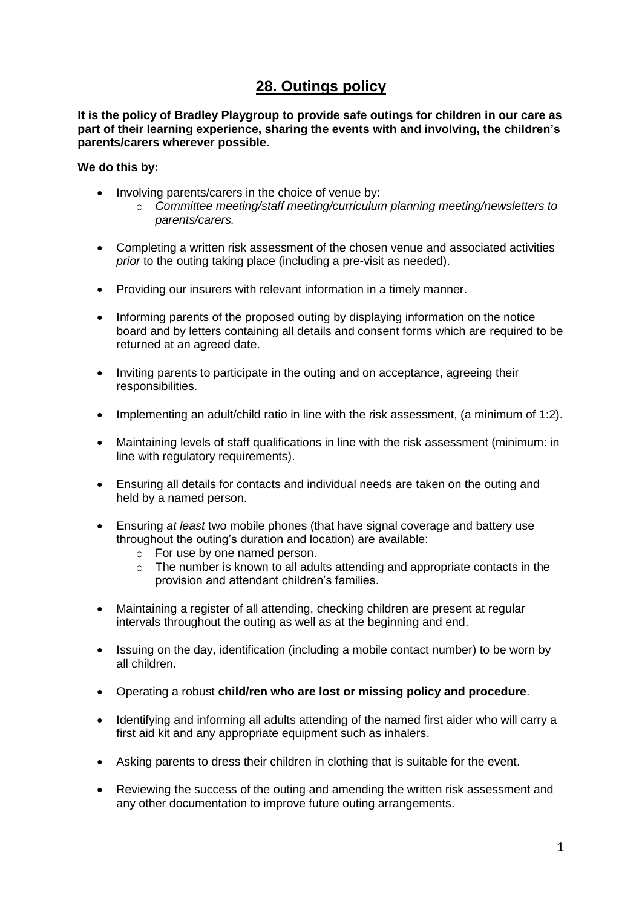## **28. Outings policy**

**It is the policy of Bradley Playgroup to provide safe outings for children in our care as part of their learning experience, sharing the events with and involving, the children's parents/carers wherever possible.** 

## **We do this by:**

- Involving parents/carers in the choice of venue by:
	- o *Committee meeting/staff meeting/curriculum planning meeting/newsletters to parents/carers.*
- Completing a written risk assessment of the chosen venue and associated activities *prior* to the outing taking place (including a pre-visit as needed).
- Providing our insurers with relevant information in a timely manner.
- Informing parents of the proposed outing by displaying information on the notice board and by letters containing all details and consent forms which are required to be returned at an agreed date.
- Inviting parents to participate in the outing and on acceptance, agreeing their responsibilities.
- Implementing an adult/child ratio in line with the risk assessment, (a minimum of 1:2).
- Maintaining levels of staff qualifications in line with the risk assessment (minimum: in line with regulatory requirements).
- Ensuring all details for contacts and individual needs are taken on the outing and held by a named person.
- Ensuring *at least* two mobile phones (that have signal coverage and battery use throughout the outing's duration and location) are available:
	- o For use by one named person.
	- $\circ$  The number is known to all adults attending and appropriate contacts in the provision and attendant children's families.
- Maintaining a register of all attending, checking children are present at regular intervals throughout the outing as well as at the beginning and end.
- Issuing on the day, identification (including a mobile contact number) to be worn by all children.
- Operating a robust **child/ren who are lost or missing policy and procedure**.
- Identifying and informing all adults attending of the named first aider who will carry a first aid kit and any appropriate equipment such as inhalers.
- Asking parents to dress their children in clothing that is suitable for the event.
- Reviewing the success of the outing and amending the written risk assessment and any other documentation to improve future outing arrangements.